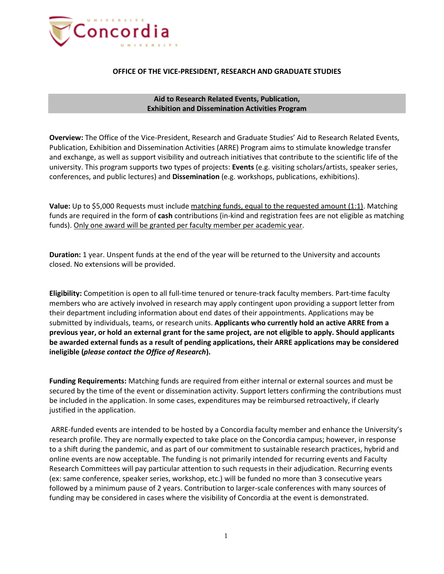

## **OFFICE OF THE VICE-PRESIDENT, RESEARCH AND GRADUATE STUDIES**

**Aid to Research Related Events, Publication, Exhibition and Dissemination Activities Program**

**Overview:** The Office of the Vice-President, Research and Graduate Studies' Aid to Research Related Events, Publication, Exhibition and Dissemination Activities (ARRE) Program aims to stimulate knowledge transfer and exchange, as well as support visibility and outreach initiatives that contribute to the scientific life of the university. This program supports two types of projects: **Events** (e.g. visiting scholars/artists, speaker series, conferences, and public lectures) and **Dissemination** (e.g. workshops, publications, exhibitions).

**Value:** Up to \$5,000 Requests must include matching funds, equal to the requested amount (1:1). Matching funds are required in the form of **cash** contributions (in-kind and registration fees are not eligible as matching funds). Only one award will be granted per faculty member per academic year.

**Duration:** 1 year. Unspent funds at the end of the year will be returned to the University and accounts closed. No extensions will be provided.

**Eligibility:** Competition is open to all full-time tenured or tenure-track faculty members. Part-time faculty members who are actively involved in research may apply contingent upon providing a support letter from their department including information about end dates of their appointments. Applications may be submitted by individuals, teams, or research units. **Applicants who currently hold an active ARRE from a previous year, or hold an external grant for the same project, are not eligible to apply. Should applicants be awarded external funds as a result of pending applications, their ARRE applications may be considered ineligible (***please contact the Office of Research***).**

**Funding Requirements:** Matching funds are required from either internal or external sources and must be secured by the time of the event or dissemination activity. Support letters confirming the contributions must be included in the application. In some cases, expenditures may be reimbursed retroactively, if clearly justified in the application.

ARRE-funded events are intended to be hosted by a Concordia faculty member and enhance the University's research profile. They are normally expected to take place on the Concordia campus; however, in response to a shift during the pandemic, and as part of our commitment to sustainable research practices, hybrid and online events are now acceptable. The funding is not primarily intended for recurring events and Faculty Research Committees will pay particular attention to such requests in their adjudication. Recurring events (ex: same conference, speaker series, workshop, etc.) will be funded no more than 3 consecutive years followed by a minimum pause of 2 years. Contribution to larger-scale conferences with many sources of funding may be considered in cases where the visibility of Concordia at the event is demonstrated.